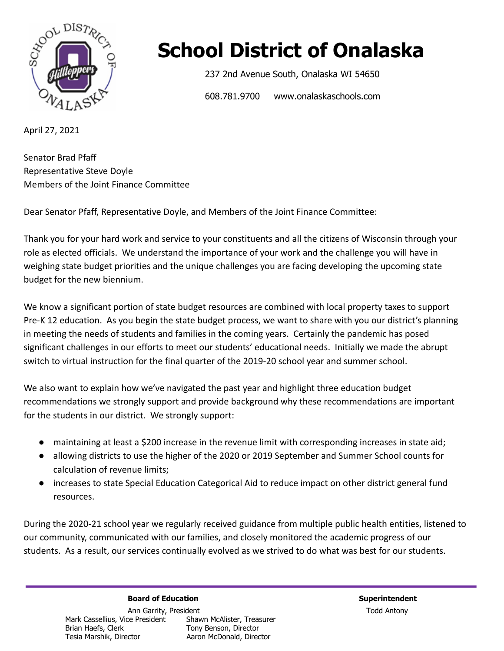

## **School District of Onalaska**

237 2nd Avenue South, Onalaska WI 54650

608.781.9700 www.onalaskaschools.com

April 27, 2021

Senator Brad Pfaff Representative Steve Doyle Members of the Joint Finance Committee

Dear Senator Pfaff, Representative Doyle, and Members of the Joint Finance Committee:

Thank you for your hard work and service to your constituents and all the citizens of Wisconsin through your role as elected officials. We understand the importance of your work and the challenge you will have in weighing state budget priorities and the unique challenges you are facing developing the upcoming state budget for the new biennium.

We know a significant portion of state budget resources are combined with local property taxes to support Pre-K 12 education. As you begin the state budget process, we want to share with you our district's planning in meeting the needs of students and families in the coming years. Certainly the pandemic has posed significant challenges in our efforts to meet our students' educational needs. Initially we made the abrupt switch to virtual instruction for the final quarter of the 2019-20 school year and summer school.

We also want to explain how we've navigated the past year and highlight three education budget recommendations we strongly support and provide background why these recommendations are important for the students in our district. We strongly support:

- maintaining at least a \$200 increase in the revenue limit with corresponding increases in state aid;
- allowing districts to use the higher of the 2020 or 2019 September and Summer School counts for calculation of revenue limits;
- increases to state Special Education Categorical Aid to reduce impact on other district general fund resources.

During the 2020-21 school year we regularly received guidance from multiple public health entities, listened to our community, communicated with our families, and closely monitored the academic progress of our students. As a result, our services continually evolved as we strived to do what was best for our students.

**Board of Education Superintendent**

Ann Garrity, President **Todd Antony** Mark Cassellius, Vice President Shawn McAlister, Treasurer<br>Brian Haefs, Clerk Tony Benson, Director Brian Haefs, Clerk Tony Benson, Director<br>Tesia Marshik, Director Tesia Aaron McDonald, Direc Aaron McDonald, Director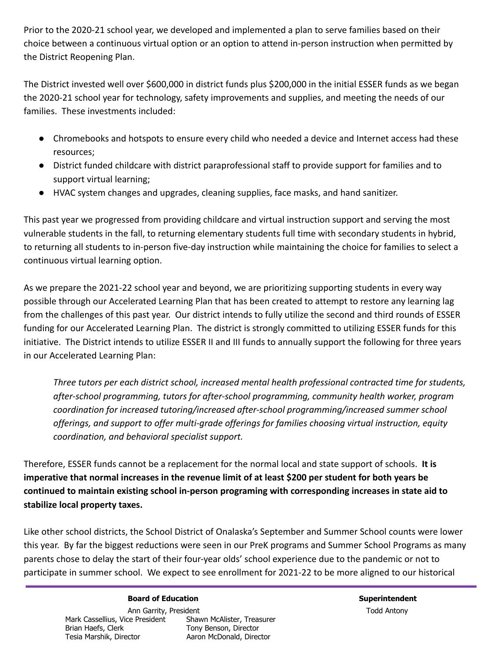Prior to the 2020-21 school year, we developed and implemented a plan to serve families based on their choice between a continuous virtual option or an option to attend in-person instruction when permitted by the District Reopening Plan.

The District invested well over \$600,000 in district funds plus \$200,000 in the initial ESSER funds as we began the 2020-21 school year for technology, safety improvements and supplies, and meeting the needs of our families. These investments included:

- Chromebooks and hotspots to ensure every child who needed a device and Internet access had these resources;
- District funded childcare with district paraprofessional staff to provide support for families and to support virtual learning;
- HVAC system changes and upgrades, cleaning supplies, face masks, and hand sanitizer.

This past year we progressed from providing childcare and virtual instruction support and serving the most vulnerable students in the fall, to returning elementary students full time with secondary students in hybrid, to returning all students to in-person five-day instruction while maintaining the choice for families to select a continuous virtual learning option.

As we prepare the 2021-22 school year and beyond, we are prioritizing supporting students in every way possible through our Accelerated Learning Plan that has been created to attempt to restore any learning lag from the challenges of this past year. Our district intends to fully utilize the second and third rounds of ESSER funding for our Accelerated Learning Plan. The district is strongly committed to utilizing ESSER funds for this initiative. The District intends to utilize ESSER II and III funds to annually support the following for three years in our Accelerated Learning Plan:

*Three tutors per each district school, increased mental health professional contracted time for students, after-school programming, tutors for after-school programming, community health worker, program coordination for increased tutoring/increased after-school programming/increased summer school offerings, and support to offer multi-grade offerings for families choosing virtual instruction, equity coordination, and behavioral specialist support.*

Therefore, ESSER funds cannot be a replacement for the normal local and state support of schools. **It is imperative that normal increases in the revenue limit of at least \$200 per student for both years be continued to maintain existing school in-person programing with corresponding increases in state aid to stabilize local property taxes.**

Like other school districts, the School District of Onalaska's September and Summer School counts were lower this year. By far the biggest reductions were seen in our PreK programs and Summer School Programs as many parents chose to delay the start of their four-year olds' school experience due to the pandemic or not to participate in summer school. We expect to see enrollment for 2021-22 to be more aligned to our historical

## **Board of Education Superintendent**

Ann Garrity, President **Todd Antony** Mark Cassellius, Vice President Shawn McAlister, Treasurer<br>Brian Haefs, Clerk Tony Benson, Director Brian Haefs, Clerk Tony Benson, Director<br>Tesia Marshik, Director Tesia Aaron McDonald, Direc Aaron McDonald, Director